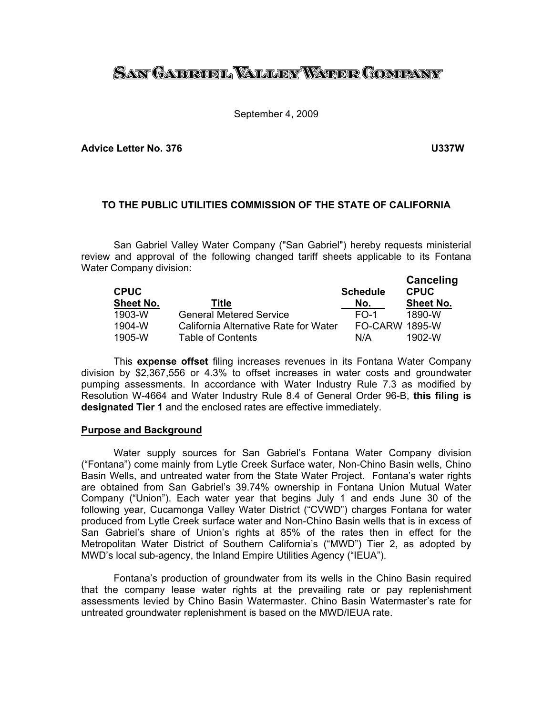# SAN GAERUEL VALLER WATER COMPANY

### September 4, 2009

**Advice Letter No. 376 U337W** 

## **TO THE PUBLIC UTILITIES COMMISSION OF THE STATE OF CALIFORNIA**

 San Gabriel Valley Water Company ("San Gabriel") hereby requests ministerial review and approval of the following changed tariff sheets applicable to its Fontana Water Company division:

| <b>CPUC</b><br><b>Sheet No.</b> | Title                                 | <b>Schedule</b><br>No. | Canceling<br><b>CPUC</b><br><b>Sheet No.</b> |
|---------------------------------|---------------------------------------|------------------------|----------------------------------------------|
|                                 |                                       |                        |                                              |
| $1903 - W$                      | <b>General Metered Service</b>        | $F$ <sup>-1</sup>      | 1890-W                                       |
| $1904 - W$                      | California Alternative Rate for Water | <b>FO-CARW 1895-W</b>  |                                              |
| $1905 - W$                      | <b>Table of Contents</b>              | N/A                    | $1902 - W$                                   |

This **expense offset** filing increases revenues in its Fontana Water Company division by \$2,367,556 or 4.3% to offset increases in water costs and groundwater pumping assessments. In accordance with Water Industry Rule 7.3 as modified by Resolution W-4664 and Water Industry Rule 8.4 of General Order 96-B, **this filing is designated Tier 1** and the enclosed rates are effective immediately.

#### **Purpose and Background**

 Water supply sources for San Gabriel's Fontana Water Company division ("Fontana") come mainly from Lytle Creek Surface water, Non-Chino Basin wells, Chino Basin Wells, and untreated water from the State Water Project. Fontana's water rights are obtained from San Gabriel's 39.74% ownership in Fontana Union Mutual Water Company ("Union"). Each water year that begins July 1 and ends June 30 of the following year, Cucamonga Valley Water District ("CVWD") charges Fontana for water produced from Lytle Creek surface water and Non-Chino Basin wells that is in excess of San Gabriel's share of Union's rights at 85% of the rates then in effect for the Metropolitan Water District of Southern California's ("MWD") Tier 2, as adopted by MWD's local sub-agency, the Inland Empire Utilities Agency ("IEUA").

 Fontana's production of groundwater from its wells in the Chino Basin required that the company lease water rights at the prevailing rate or pay replenishment assessments levied by Chino Basin Watermaster. Chino Basin Watermaster's rate for untreated groundwater replenishment is based on the MWD/IEUA rate.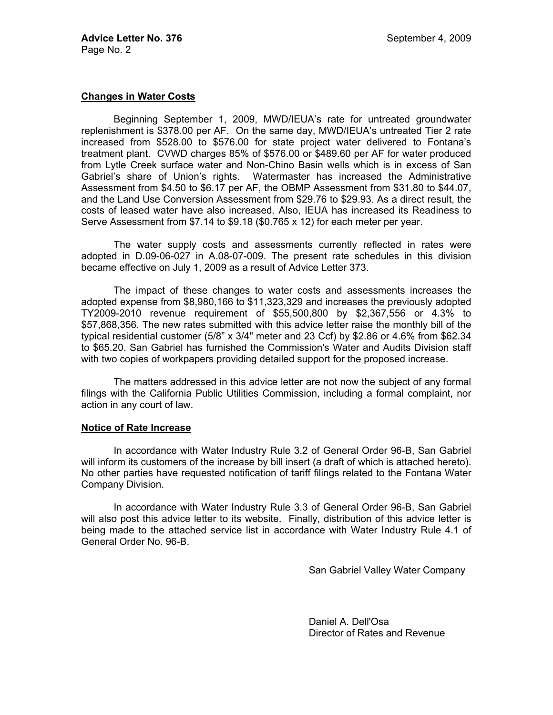## **Changes in Water Costs**

 Beginning September 1, 2009, MWD/IEUA's rate for untreated groundwater replenishment is \$378.00 per AF. On the same day, MWD/IEUA's untreated Tier 2 rate increased from \$528.00 to \$576.00 for state project water delivered to Fontana's treatment plant. CVWD charges 85% of \$576.00 or \$489.60 per AF for water produced from Lytle Creek surface water and Non-Chino Basin wells which is in excess of San Gabriel's share of Union's rights. Watermaster has increased the Administrative Assessment from \$4.50 to \$6.17 per AF, the OBMP Assessment from \$31.80 to \$44.07, and the Land Use Conversion Assessment from \$29.76 to \$29.93. As a direct result, the costs of leased water have also increased. Also, IEUA has increased its Readiness to Serve Assessment from \$7.14 to \$9.18 (\$0.765 x 12) for each meter per year.

 The water supply costs and assessments currently reflected in rates were adopted in D.09-06-027 in A.08-07-009. The present rate schedules in this division became effective on July 1, 2009 as a result of Advice Letter 373.

 The impact of these changes to water costs and assessments increases the adopted expense from \$8,980,166 to \$11,323,329 and increases the previously adopted TY2009-2010 revenue requirement of \$55,500,800 by \$2,367,556 or 4.3% to \$57,868,356. The new rates submitted with this advice letter raise the monthly bill of the typical residential customer  $(5/8" \times 3/4"$  meter and 23 Ccf) by \$2.86 or 4.6% from \$62.34 to \$65.20. San Gabriel has furnished the Commission's Water and Audits Division staff with two copies of workpapers providing detailed support for the proposed increase.

 The matters addressed in this advice letter are not now the subject of any formal filings with the California Public Utilities Commission, including a formal complaint, nor action in any court of law.

## **Notice of Rate Increase**

 In accordance with Water Industry Rule 3.2 of General Order 96-B, San Gabriel will inform its customers of the increase by bill insert (a draft of which is attached hereto). No other parties have requested notification of tariff filings related to the Fontana Water Company Division.

 In accordance with Water Industry Rule 3.3 of General Order 96-B, San Gabriel will also post this advice letter to its website. Finally, distribution of this advice letter is being made to the attached service list in accordance with Water Industry Rule 4.1 of General Order No. 96-B.

San Gabriel Valley Water Company

 Daniel A. Dell'Osa Director of Rates and Revenue